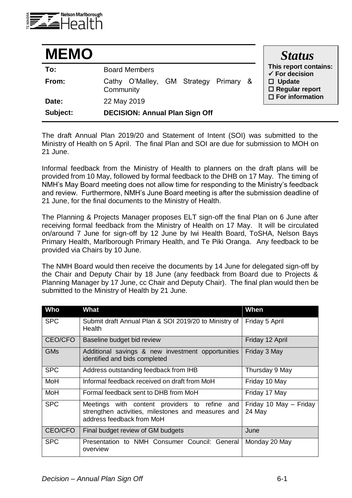

| <b>MEMO</b> |                                                       | <b>Status</b>                                                                                |
|-------------|-------------------------------------------------------|----------------------------------------------------------------------------------------------|
| To:         | <b>Board Members</b>                                  | This report contains:<br>$\checkmark$ For decision<br>$\Box$ Update<br>$\Box$ Regular report |
| From:       | O'Malley, GM Strategy Primary &<br>Cathy<br>Community |                                                                                              |
| Date:       | 22 May 2019                                           | $\Box$ For information                                                                       |
| Subject:    | <b>DECISION: Annual Plan Sign Off</b>                 |                                                                                              |

The draft Annual Plan 2019/20 and Statement of Intent (SOI) was submitted to the Ministry of Health on 5 April. The final Plan and SOI are due for submission to MOH on 21 June.

Informal feedback from the Ministry of Health to planners on the draft plans will be provided from 10 May, followed by formal feedback to the DHB on 17 May. The timing of NMH's May Board meeting does not allow time for responding to the Ministry's feedback and review. Furthermore, NMH's June Board meeting is after the submission deadline of 21 June, for the final documents to the Ministry of Health.

The Planning & Projects Manager proposes ELT sign-off the final Plan on 6 June after receiving formal feedback from the Ministry of Health on 17 May. It will be circulated on/around 7 June for sign-off by 12 June by Iwi Health Board, ToSHA, Nelson Bays Primary Health, Marlborough Primary Health, and Te Piki Oranga. Any feedback to be provided via Chairs by 10 June.

The NMH Board would then receive the documents by 14 June for delegated sign-off by the Chair and Deputy Chair by 18 June (any feedback from Board due to Projects & Planning Manager by 17 June, cc Chair and Deputy Chair). The final plan would then be submitted to the Ministry of Health by 21 June.

| <b>Who</b>     | <b>What</b>                                                                                                                      | When                             |
|----------------|----------------------------------------------------------------------------------------------------------------------------------|----------------------------------|
| <b>SPC</b>     | Submit draft Annual Plan & SOI 2019/20 to Ministry of<br>Health                                                                  | Friday 5 April                   |
| CEO/CFO        | Baseline budget bid review                                                                                                       | Friday 12 April                  |
| <b>GMs</b>     | Additional savings & new investment opportunities<br>identified and bids completed                                               | Friday 3 May                     |
| <b>SPC</b>     | Address outstanding feedback from IHB                                                                                            | Thursday 9 May                   |
| MoH            | Informal feedback received on draft from MoH                                                                                     | Friday 10 May                    |
| MoH            | Formal feedback sent to DHB from MoH                                                                                             | Friday 17 May                    |
| <b>SPC</b>     | Meetings with content providers to refine and<br>strengthen activities, milestones and measures and<br>address feedback from MoH | Friday 10 May - Friday<br>24 May |
| <b>CEO/CFO</b> | Final budget review of GM budgets                                                                                                | June                             |
| <b>SPC</b>     | Presentation to NMH Consumer Council: General<br>overview                                                                        | Monday 20 May                    |